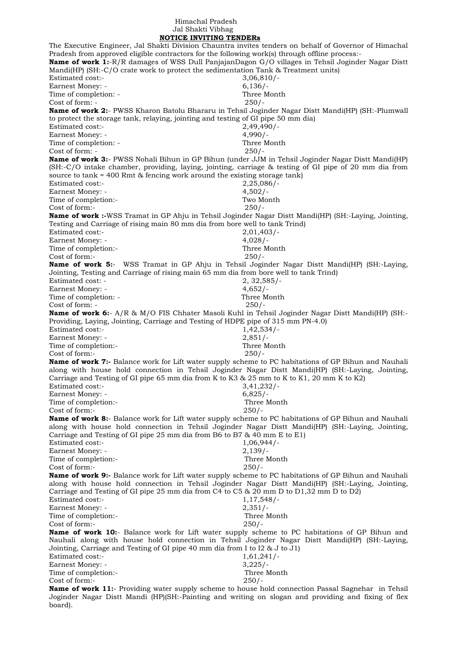## Himachal Pradesh Jal Shakti Vibhag

 **NOTICE INVITING TENDERs** The Executive Engineer, Jal Shakti Division Chauntra invites tenders on behalf of Governor of Himachal Pradesh from approved eligible contractors for the following work(s) through offline process:- **Name of work 1:**-R/R damages of WSS Dull PanjajanDagon G/O villages in Tehsil Joginder Nagar Distt Mandi(HP) (SH:-C/O crate work to protect the sedimentation Tank & Treatment units) Estimated cost:- 3,06,810/- Earnest Money: - 6,136/-Time of completion: - Three Month Cost of form: - 250/- **Name of work 2:**- PWSS Kharon Batolu Bhararu in Tehsil Joginder Nagar Distt Mandi(HP) (SH:-Plumwall to protect the storage tank, relaying, jointing and testing of GI pipe 50 mm dia) Estimated cost:- 2,49,490/- Earnest Money: - 4,990/-Time of completion: - Three Month Cost of form: - 250/- **Name of work 3:**- PWSS Nohali Bihun in GP Bihun (under JJM in Tehsil Joginder Nagar Distt Mandi(HP) (SH:-C/O intake chamber, providing, laying, jointing, carriage & testing of GI pipe of 20 mm dia from source to tank = 400 Rmt & fencing work around the existing storage tank) Estimated cost:- 2,25,086/- Earnest Money: - 4,502/-Time of completion:- Two Month Cost of form:- 250/- **Name of work :-**WSS Tramat in GP Ahju in Tehsil Joginder Nagar Distt Mandi(HP) (SH:-Laying, Jointing, Testing and Carriage of rising main 80 mm dia from bore well to tank Trind) Estimated cost:- 2,01,403/- Earnest Money: - 4,028/-Time of completion:- Three Month Cost of form:- 250/- **Name of work 5:**- WSS Tramat in GP Ahju in Tehsil Joginder Nagar Distt Mandi(HP) (SH:-Laying, Jointing, Testing and Carriage of rising main 65 mm dia from bore well to tank Trind) Estimated cost: - 2, 32,585/- Earnest Money: - 4,652/-Time of completion: - Three Month Cost of form: - 250/- **Name of work 6:**- A/R & M/O FIS Chhater Masoli Kuhl in Tehsil Joginder Nagar Distt Mandi(HP) (SH:- Providing, Laying, Jointing, Carriage and Testing of HDPE pipe of 315 mm PN-4.0) Estimated cost:- 1,42,534/-Earnest Money: - 2,851/-Time of completion:- Three Month Cost of form:- 250/- **Name of work 7:-** Balance work for Lift water supply scheme to PC habitations of GP Bihun and Nauhali along with house hold connection in Tehsil Joginder Nagar Distt Mandi(HP) (SH:-Laying, Jointing, Carriage and Testing of GI pipe 65 mm dia from K to K3 & 25 mm to K to K1, 20 mm K to K2)<br>Estimated cost:-<br> $3,41,232/$ -Estimated cost:-Earnest Money: - 6,825/-Time of completion:- Three Month Cost of form:- 250/- **Name of work 8:**- Balance work for Lift water supply scheme to PC habitations of GP Bihun and Nauhali along with house hold connection in Tehsil Joginder Nagar Distt Mandi(HP) (SH:-Laying, Jointing, Carriage and Testing of GI pipe 25 mm dia from B6 to B7 & 40 mm E to E1) Estimated cost:- 1,06,944/- Earnest Money: - 2,139/-Time of completion:- Three Month Cost of form:- 250/- **Name of work 9:-** Balance work for Lift water supply scheme to PC habitations of GP Bihun and Nauhali along with house hold connection in Tehsil Joginder Nagar Distt Mandi(HP) (SH:-Laying, Jointing, Carriage and Testing of GI pipe 25 mm dia from C4 to C5 & 20 mm D to D1,32 mm D to D2) Estimated cost:- 1,17,548/-Earnest Money: - 2,351/-Time of completion:- Three Month Cost of form:- 250/- **Name of work 10:**- Balance work for Lift water supply scheme to PC habitations of GP Bihun and Nauhali along with house hold connection in Tehsil Joginder Nagar Distt Mandi(HP) (SH:-Laying, Jointing, Carriage and Testing of GI pipe 40 mm dia from I to I2 & J to J1) Estimated cost:- 1,61,241/-Earnest Money: - 3,225/-Time of completion:- Three Month Cost of form:- 250/- **Name of work 11:**- Providing water supply scheme to house hold connection Passal Sagnehar in Tehsil Joginder Nagar Distt Mandi (HP)(SH:-Painting and writing on slogan and providing and fixing of flex

board).